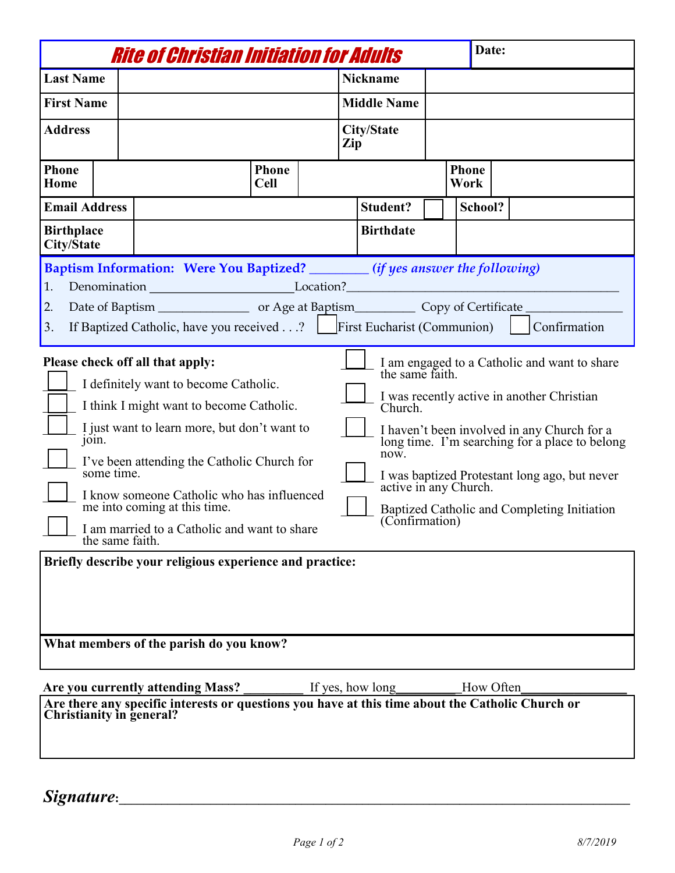|                                                                                                                                                                                                                                                                                                                                                                                                                                                                                                                                                                                                                                                                                                                                                                                                                                          | <i><b>Rite of Christian Initiation for Adults</b></i> |  |                          |  | Date:                |  |  |
|------------------------------------------------------------------------------------------------------------------------------------------------------------------------------------------------------------------------------------------------------------------------------------------------------------------------------------------------------------------------------------------------------------------------------------------------------------------------------------------------------------------------------------------------------------------------------------------------------------------------------------------------------------------------------------------------------------------------------------------------------------------------------------------------------------------------------------------|-------------------------------------------------------|--|--------------------------|--|----------------------|--|--|
| <b>Last Name</b>                                                                                                                                                                                                                                                                                                                                                                                                                                                                                                                                                                                                                                                                                                                                                                                                                         |                                                       |  | <b>Nickname</b>          |  |                      |  |  |
| <b>First Name</b>                                                                                                                                                                                                                                                                                                                                                                                                                                                                                                                                                                                                                                                                                                                                                                                                                        |                                                       |  | <b>Middle Name</b>       |  |                      |  |  |
| <b>Address</b>                                                                                                                                                                                                                                                                                                                                                                                                                                                                                                                                                                                                                                                                                                                                                                                                                           |                                                       |  | <b>City/State</b><br>Zip |  |                      |  |  |
| <b>Phone</b><br>Home                                                                                                                                                                                                                                                                                                                                                                                                                                                                                                                                                                                                                                                                                                                                                                                                                     | <b>Phone</b><br><b>Cell</b>                           |  |                          |  | <b>Phone</b><br>Work |  |  |
| <b>Email Address</b>                                                                                                                                                                                                                                                                                                                                                                                                                                                                                                                                                                                                                                                                                                                                                                                                                     |                                                       |  | <b>Student?</b>          |  | School?              |  |  |
| <b>Birthplace</b><br><b>City/State</b>                                                                                                                                                                                                                                                                                                                                                                                                                                                                                                                                                                                                                                                                                                                                                                                                   |                                                       |  | <b>Birthdate</b>         |  |                      |  |  |
| Baptism Information: Were You Baptized? _______ (if yes answer the following)<br>Denomination _______________________________Location?____________________________<br>1.<br>2.<br>If Baptized Catholic, have you received? First Eucharist (Communion)<br>Confirmation<br>3.                                                                                                                                                                                                                                                                                                                                                                                                                                                                                                                                                             |                                                       |  |                          |  |                      |  |  |
| Please check off all that apply:<br>I am engaged to a Catholic and want to share<br>the same faith.<br>I definitely want to become Catholic.<br>I was recently active in another Christian<br>I think I might want to become Catholic.<br>Church.<br>I just want to learn more, but don't want to<br>I haven't been involved in any Church for a<br>join.<br>long time. I'm searching for a place to belong<br>now.<br>I've been attending the Catholic Church for<br>some time.<br>I was baptized Protestant long ago, but never<br>active in any Church.<br>I know someone Catholic who has influenced<br>me into coming at this time.<br>Baptized Catholic and Completing Initiation<br>(Confirmation)<br>I am married to a Catholic and want to share<br>the same faith.<br>Briefly describe your religious experience and practice: |                                                       |  |                          |  |                      |  |  |
| What members of the parish do you know?<br>If yes, how long<br>Are you currently attending Mass?<br>How Often<br>Are there any specific interests or questions you have at this time about the Catholic Church or<br><b>Christianity in general?</b>                                                                                                                                                                                                                                                                                                                                                                                                                                                                                                                                                                                     |                                                       |  |                          |  |                      |  |  |

*Signature*<sup>2</sup>